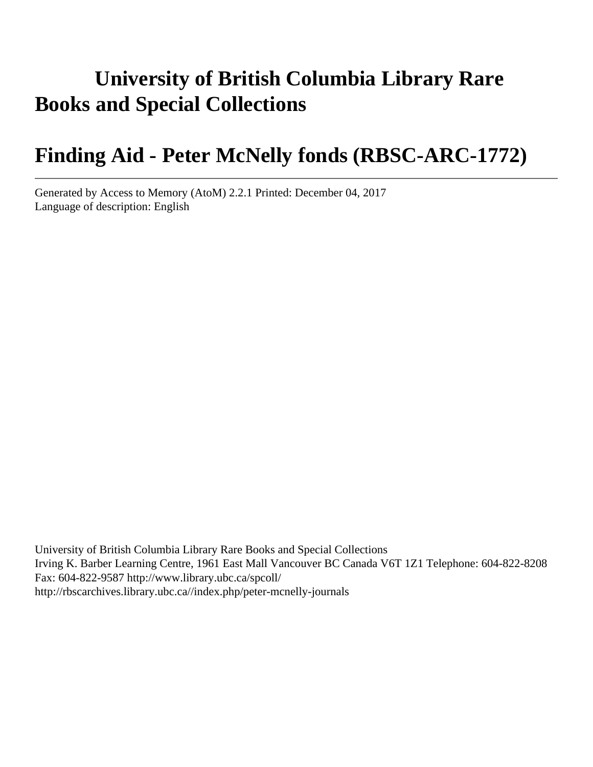# **University of British Columbia Library Rare Books and Special Collections**

# **Finding Aid - Peter McNelly fonds (RBSC-ARC-1772)**

Generated by Access to Memory (AtoM) 2.2.1 Printed: December 04, 2017 Language of description: English

University of British Columbia Library Rare Books and Special Collections Irving K. Barber Learning Centre, 1961 East Mall Vancouver BC Canada V6T 1Z1 Telephone: 604-822-8208 Fax: 604-822-9587 http://www.library.ubc.ca/spcoll/ http://rbscarchives.library.ubc.ca//index.php/peter-mcnelly-journals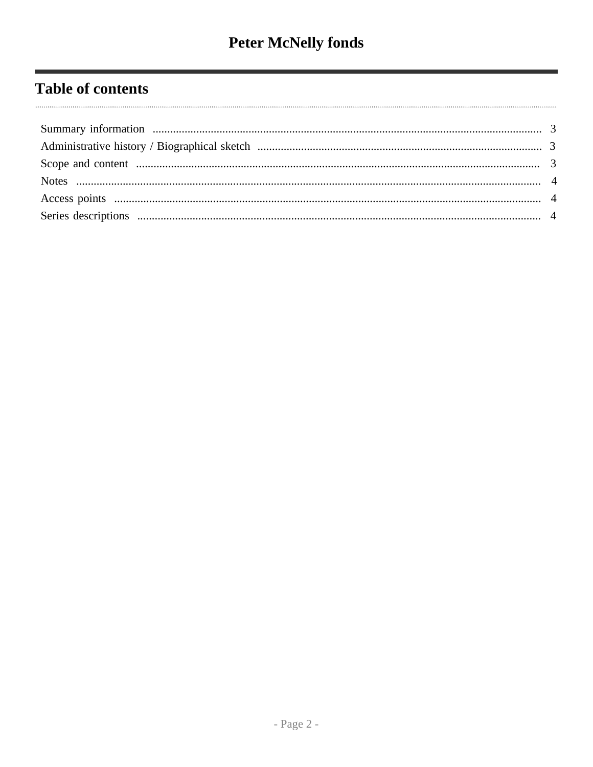# **Table of contents**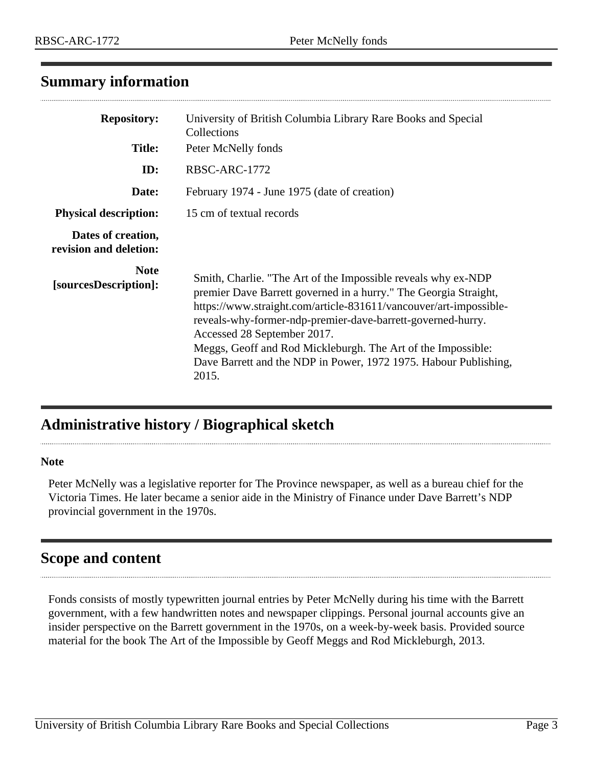## <span id="page-2-0"></span>**Summary information**

| <b>Repository:</b><br><b>Title:</b>          | University of British Columbia Library Rare Books and Special<br>Collections<br>Peter McNelly fonds                                                                                                                                                                                                                                                                                                                                               |  |  |  |
|----------------------------------------------|---------------------------------------------------------------------------------------------------------------------------------------------------------------------------------------------------------------------------------------------------------------------------------------------------------------------------------------------------------------------------------------------------------------------------------------------------|--|--|--|
| ID:                                          | RBSC-ARC-1772                                                                                                                                                                                                                                                                                                                                                                                                                                     |  |  |  |
| Date:                                        | February 1974 - June 1975 (date of creation)                                                                                                                                                                                                                                                                                                                                                                                                      |  |  |  |
| <b>Physical description:</b>                 | 15 cm of textual records                                                                                                                                                                                                                                                                                                                                                                                                                          |  |  |  |
| Dates of creation,<br>revision and deletion: |                                                                                                                                                                                                                                                                                                                                                                                                                                                   |  |  |  |
| <b>Note</b><br>[sourcesDescription]:         | Smith, Charlie. "The Art of the Impossible reveals why ex-NDP<br>premier Dave Barrett governed in a hurry." The Georgia Straight,<br>https://www.straight.com/article-831611/vancouver/art-impossible-<br>reveals-why-former-ndp-premier-dave-barrett-governed-hurry.<br>Accessed 28 September 2017.<br>Meggs, Geoff and Rod Mickleburgh. The Art of the Impossible:<br>Dave Barrett and the NDP in Power, 1972 1975. Habour Publishing,<br>2015. |  |  |  |

# <span id="page-2-1"></span>**Administrative history / Biographical sketch**

#### **Note**

Peter McNelly was a legislative reporter for The Province newspaper, as well as a bureau chief for the Victoria Times. He later became a senior aide in the Ministry of Finance under Dave Barrett's NDP provincial government in the 1970s.

## <span id="page-2-2"></span>**Scope and content**

Fonds consists of mostly typewritten journal entries by Peter McNelly during his time with the Barrett government, with a few handwritten notes and newspaper clippings. Personal journal accounts give an insider perspective on the Barrett government in the 1970s, on a week-by-week basis. Provided source material for the book The Art of the Impossible by Geoff Meggs and Rod Mickleburgh, 2013.